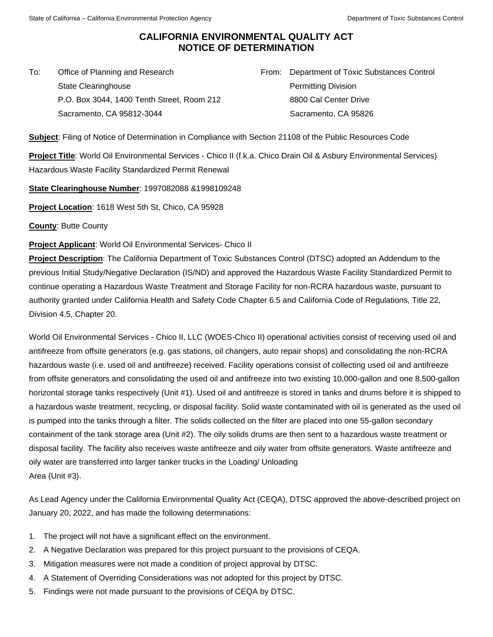## **CALIFORNIA ENVIRONMENTAL QUALITY ACT NOTICE OF DETERMINATION**

To: Office of Planning and Research State Clearinghouse P.O. Box 3044, 1400 Tenth Street, Room 212 Sacramento, CA 95812-3044

From: Department of Toxic Substances Control Permitting Division 8800 Cal Center Drive Sacramento, CA 95826

**Subject**: Filing of Notice of Determination in Compliance with Section 21108 of the Public Resources Code

**Project Title**: World Oil Environmental Services - Chico II (f.k.a. Chico Drain Oil & Asbury Environmental Services) Hazardous Waste Facility Standardized Permit Renewal

**State Clearinghouse Number**: 1997082088 &1998109248

**Project Location**: 1618 West 5th St, Chico, CA 95928

**County**: Butte County

**Project Applicant**: World Oil Environmental Services- Chico II

**Project Description**: The California Department of Toxic Substances Control (DTSC) adopted an Addendum to the previous Initial Study/Negative Declaration (IS/ND) and approved the Hazardous Waste Facility Standardized Permit to continue operating a Hazardous Waste Treatment and Storage Facility for non-RCRA hazardous waste, pursuant to authority granted under California Health and Safety Code Chapter 6.5 and California Code of Regulations, Title 22, Division 4.5, Chapter 20.

World Oil Environmental Services - Chico II, LLC (WOES-Chico II) operational activities consist of receiving used oil and antifreeze from offsite generators (e.g. gas stations, oil changers, auto repair shops) and consolidating the non-RCRA hazardous waste (i.e. used oil and antifreeze) received. Facility operations consist of collecting used oil and antifreeze from offsite generators and consolidating the used oil and antifreeze into two existing 10,000-gallon and one 8,500-gallon horizontal storage tanks respectively (Unit #1). Used oil and antifreeze is stored in tanks and drums before it is shipped to a hazardous waste treatment, recycling, or disposal facility. Solid waste contaminated with oil is generated as the used oil is pumped into the tanks through a filter. The solids collected on the filter are placed into one 55-gallon secondary containment of the tank storage area (Unit #2). The oily solids drums are then sent to a hazardous waste treatment or disposal facility. The facility also receives waste antifreeze and oily water from offsite generators. Waste antifreeze and oily water are transferred into larger tanker trucks in the Loading/ Unloading Area (Unit #3).

As Lead Agency under the California Environmental Quality Act (CEQA), DTSC approved the above-described project on January 20, 2022, and has made the following determinations:

- 1. The project will not have a significant effect on the environment.
- 2. A Negative Declaration was prepared for this project pursuant to the provisions of CEQA.
- 3. Mitigation measures were not made a condition of project approval by DTSC.
- 4. A Statement of Overriding Considerations was not adopted for this project by DTSC.
- 5. Findings were not made pursuant to the provisions of CEQA by DTSC.